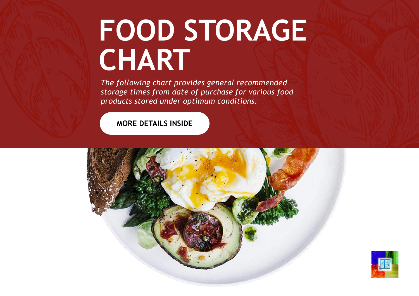## **FOOD STORAGE CHART**

*The following chart provides general recommended storage times from date of purchase for various food products stored under optimum conditions.*

**MORE DETAILS INSIDE**



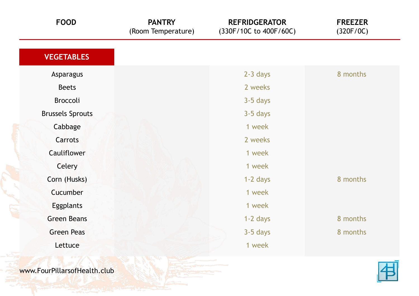| <b>FOOD</b>             | <b>PANTRY</b><br>(Room Temperature) | <b>REFRIDGERATOR</b><br>(330F/10C to 400F/60C) | <b>FREEZER</b><br>(320F/0C) |
|-------------------------|-------------------------------------|------------------------------------------------|-----------------------------|
| <b>VEGETABLES</b>       |                                     |                                                |                             |
| Asparagus               |                                     | $2-3$ days                                     | 8 months                    |
| <b>Beets</b>            |                                     | 2 weeks                                        |                             |
| Broccoli                |                                     | 3-5 days                                       |                             |
| <b>Brussels Sprouts</b> |                                     | $3-5$ days                                     |                             |
| Cabbage                 |                                     | 1 week                                         |                             |
| Carrots                 |                                     | 2 weeks                                        |                             |
| <b>Cauliflower</b>      |                                     | 1 week                                         |                             |
| Celery                  |                                     | 1 week                                         |                             |
| Corn (Husks)            |                                     | 1-2 days                                       | 8 months                    |
| Cucumber                |                                     | 1 week                                         |                             |
| <b>Eggplants</b>        |                                     | 1 week                                         |                             |
| <b>Green Beans</b>      |                                     | 1-2 days                                       | 8 months                    |
| <b>Green Peas</b>       |                                     | $3-5$ days                                     | 8 months                    |
| Lettuce                 |                                     | 1 week                                         |                             |
|                         |                                     |                                                |                             |

www.FourPillarsofHealth.club

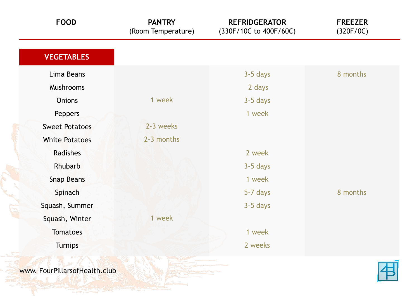| <b>FOOD</b>                   | <b>PANTRY</b><br>(Room Temperature) | <b>REFRIDGERATOR</b><br>(330F/10C to 400F/60C) | <b>FREEZER</b><br>(320F/0C) |
|-------------------------------|-------------------------------------|------------------------------------------------|-----------------------------|
| <b>VEGETABLES</b>             |                                     |                                                |                             |
| Lima Beans                    |                                     | 3-5 days                                       | 8 months                    |
| Mushrooms                     |                                     | 2 days                                         |                             |
| <b>Onions</b>                 | 1 week                              | 3-5 days                                       |                             |
| Peppers                       |                                     | 1 week                                         |                             |
| <b>Sweet Potatoes</b>         | 2-3 weeks                           |                                                |                             |
| <b>White Potatoes</b>         | 2-3 months                          |                                                |                             |
| Radishes                      |                                     | 2 week                                         |                             |
| Rhubarb                       |                                     | 3-5 days                                       |                             |
| <b>Snap Beans</b>             |                                     | 1 week                                         |                             |
| Spinach                       |                                     | 5-7 days                                       | 8 months                    |
| Squash, Summer                |                                     | 3-5 days                                       |                             |
| Squash, Winter                | 1 week                              |                                                |                             |
| <b>Tomatoes</b>               |                                     | 1 week                                         |                             |
| <b>Turnips</b>                |                                     | 2 weeks                                        |                             |
| www. FourPillarsofHealth.club |                                     |                                                |                             |

**THE CALL AND STATE**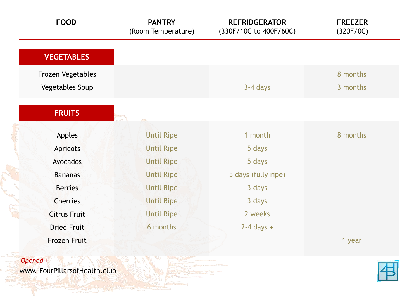| <b>FOOD</b>         | <b>PANTRY</b><br>(Room Temperature) | <b>REFRIDGERATOR</b><br>(330F/10C to 400F/60C) | <b>FREEZER</b><br>(320F/0C) |
|---------------------|-------------------------------------|------------------------------------------------|-----------------------------|
| <b>VEGETABLES</b>   |                                     |                                                |                             |
| Frozen Vegetables   |                                     |                                                | 8 months                    |
| Vegetables Soup     |                                     | 3-4 days                                       | 3 months                    |
| <b>FRUITS</b>       |                                     |                                                |                             |
| <b>Apples</b>       | <b>Until Ripe</b>                   | 1 month                                        | 8 months                    |
| <b>Apricots</b>     | <b>Until Ripe</b>                   | 5 days                                         |                             |
| Avocados            | <b>Until Ripe</b>                   | 5 days                                         |                             |
| <b>Bananas</b>      | <b>Until Ripe</b>                   | 5 days (fully ripe)                            |                             |
| <b>Berries</b>      | <b>Until Ripe</b>                   | 3 days                                         |                             |
| <b>Cherries</b>     | <b>Until Ripe</b>                   | 3 days                                         |                             |
| <b>Citrus Fruit</b> | <b>Until Ripe</b>                   | 2 weeks                                        |                             |
|                     |                                     |                                                |                             |
| <b>Dried Fruit</b>  | 6 months                            | $2-4$ days +                                   |                             |

www. FourPillarsofHealth.club

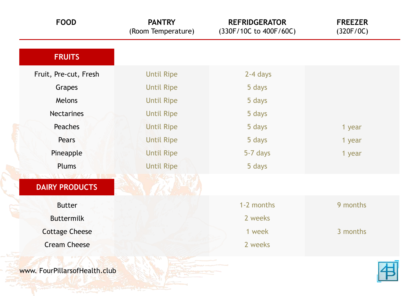| <b>FOOD</b>           | <b>PANTRY</b><br>(Room Temperature) | <b>REFRIDGERATOR</b><br>(330F/10C to 400F/60C) | <b>FREEZER</b><br>(320F/0C) |
|-----------------------|-------------------------------------|------------------------------------------------|-----------------------------|
| <b>FRUITS</b>         |                                     |                                                |                             |
| Fruit, Pre-cut, Fresh | <b>Until Ripe</b>                   | 2-4 days                                       |                             |
| Grapes                | <b>Until Ripe</b>                   | 5 days                                         |                             |
| Melons                | <b>Until Ripe</b>                   | 5 days                                         |                             |
| <b>Nectarines</b>     | <b>Until Ripe</b>                   | 5 days                                         |                             |
| <b>Peaches</b>        | <b>Until Ripe</b>                   | 5 days                                         | 1 year                      |
| Pears                 | <b>Until Ripe</b>                   | 5 days                                         | 1 year                      |
| Pineapple             | <b>Until Ripe</b>                   | 5-7 days                                       | 1 year                      |
| <b>Plums</b>          | <b>Until Ripe</b>                   | 5 days                                         |                             |
| <b>DAIRY PRODUCTS</b> |                                     |                                                |                             |
| <b>Butter</b>         |                                     | 1-2 months                                     | 9 months                    |
| <b>Buttermilk</b>     |                                     | 2 weeks                                        |                             |
| <b>Cottage Cheese</b> |                                     | 1 week                                         | 3 months                    |
| <b>Cream Cheese</b>   |                                     | 2 weeks                                        |                             |
|                       |                                     |                                                |                             |

www. FourPillarsofHealth.club

**SAN COMMON** 

但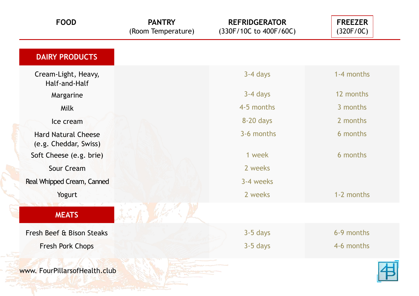| <b>FOOD</b>                                         | <b>PANTRY</b><br>(Room Temperature) | <b>REFRIDGERATOR</b><br>(330F/10C to 400F/60C) | <b>FREEZER</b><br>(320F/0C) |
|-----------------------------------------------------|-------------------------------------|------------------------------------------------|-----------------------------|
| <b>DAIRY PRODUCTS</b>                               |                                     |                                                |                             |
| Cream-Light, Heavy,<br>Half-and-Half                |                                     | 3-4 days                                       | 1-4 months                  |
| Margarine                                           |                                     | 3-4 days                                       | 12 months                   |
| Milk                                                |                                     | 4-5 months                                     | 3 months                    |
| Ice cream                                           |                                     | 8-20 days                                      | 2 months                    |
| <b>Hard Natural Cheese</b><br>(e.g. Cheddar, Swiss) |                                     | 3-6 months                                     | 6 months                    |
| Soft Cheese (e.g. brie)                             |                                     | 1 week                                         | 6 months                    |
| <b>Sour Cream</b>                                   |                                     | 2 weeks                                        |                             |
| Real Whipped Cream, Canned                          |                                     | 3-4 weeks                                      |                             |
| Yogurt                                              |                                     | 2 weeks                                        | 1-2 months                  |
| <b>MEATS</b>                                        |                                     |                                                |                             |
| Fresh Beef & Bison Steaks                           |                                     | 3-5 days                                       | 6-9 months                  |
| Fresh Pork Chops                                    |                                     | 3-5 days                                       | 4-6 months                  |
| www. FourPillarsofHealth.club                       |                                     |                                                |                             |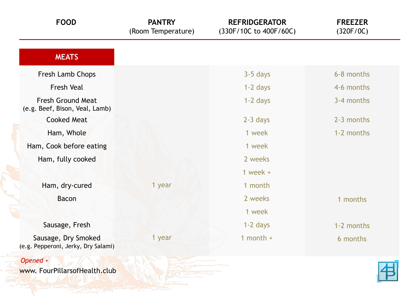| <b>FOOD</b>                                                | <b>PANTRY</b><br>(Room Temperature) | <b>REFRIDGERATOR</b><br>(330F/10C to 400F/60C) | <b>FREEZER</b><br>(320F/0C) |
|------------------------------------------------------------|-------------------------------------|------------------------------------------------|-----------------------------|
| <b>MEATS</b>                                               |                                     |                                                |                             |
| Fresh Lamb Chops                                           |                                     | $3-5$ days                                     | 6-8 months                  |
| <b>Fresh Veal</b>                                          |                                     | $1-2$ days                                     | 4-6 months                  |
| <b>Fresh Ground Meat</b><br>(e.g. Beef, Bison, Veal, Lamb) |                                     | $1-2$ days                                     | 3-4 months                  |
| <b>Cooked Meat</b>                                         |                                     | $2-3$ days                                     | 2-3 months                  |
| Ham, Whole                                                 |                                     | 1 week                                         | 1-2 months                  |
| Ham, Cook before eating                                    |                                     | 1 week                                         |                             |
| Ham, fully cooked                                          |                                     | 2 weeks                                        |                             |
|                                                            |                                     | 1 week $+$                                     |                             |
| Ham, dry-cured                                             | 1 year                              | 1 month                                        |                             |
| <b>Bacon</b>                                               |                                     | 2 weeks                                        | 1 months                    |
|                                                            |                                     | 1 week                                         |                             |
| Sausage, Fresh                                             |                                     | 1-2 days                                       | 1-2 months                  |
| Sausage, Dry Smoked<br>(e.g. Pepperoni, Jerky, Dry Salami) | 1 year                              | 1 month $+$                                    | 6 months                    |
|                                                            |                                     |                                                |                             |

*Opened +*

www. FourPillarsofHealth.club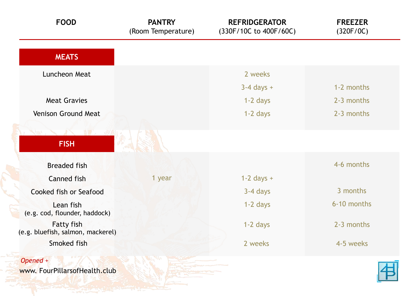| <b>FOOD</b>                                            | <b>PANTRY</b><br>(Room Temperature) | <b>REFRIDGERATOR</b><br>(330F/10C to 400F/60C) | <b>FREEZER</b><br>(320F/0C) |
|--------------------------------------------------------|-------------------------------------|------------------------------------------------|-----------------------------|
| <b>MEATS</b>                                           |                                     |                                                |                             |
| Luncheon Meat                                          |                                     | 2 weeks                                        |                             |
|                                                        |                                     | $3-4$ days $+$                                 | 1-2 months                  |
| <b>Meat Gravies</b>                                    |                                     | $1-2$ days                                     | 2-3 months                  |
| Venison Ground Meat                                    |                                     | $1-2$ days                                     | 2-3 months                  |
| <b>FISH</b><br><b>Breaded fish</b>                     |                                     |                                                | 4-6 months                  |
| <b>Canned fish</b>                                     | 1 year                              | $1-2$ days $+$                                 |                             |
| <b>Cooked fish or Seafood</b>                          |                                     | 3-4 days                                       | 3 months                    |
| Lean fish<br>(e.g. cod, flounder, haddock)             |                                     | $1-2$ days                                     | 6-10 months                 |
| <b>Fatty fish</b><br>(e.g. bluefish, salmon, mackerel) |                                     | $1-2$ days                                     | 2-3 months                  |
| Smoked fish                                            |                                     | 2 weeks                                        | 4-5 weeks                   |
| Opened +                                               |                                     |                                                |                             |

www. FourPillarsofHealth<mark>.c</mark>lub

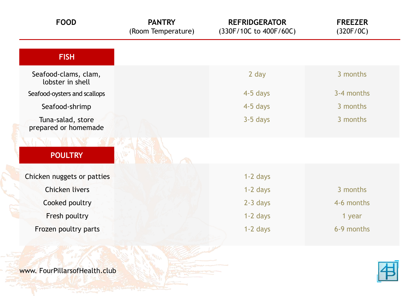| <b>FOOD</b>                               | <b>PANTRY</b><br>(Room Temperature) | <b>REFRIDGERATOR</b><br>(330F/10C to 400F/60C) | <b>FREEZER</b><br>(320F/0C) |
|-------------------------------------------|-------------------------------------|------------------------------------------------|-----------------------------|
| <b>FISH</b>                               |                                     |                                                |                             |
| Seafood-clams, clam,<br>lobster in shell  |                                     | 2 day                                          | 3 months                    |
| Seafood-oysters and scallops              |                                     | 4-5 days                                       | 3-4 months                  |
| Seafood-shrimp                            |                                     | 4-5 days                                       | 3 months                    |
| Tuna-salad, store<br>prepared or homemade |                                     | $3-5$ days                                     | 3 months                    |
|                                           |                                     |                                                |                             |
| <b>POULTRY</b>                            |                                     |                                                |                             |
| Chicken nuggets or patties                |                                     | $1-2$ days                                     |                             |
| <b>Chicken livers</b>                     |                                     | $1-2$ days                                     | 3 months                    |
| Cooked poultry                            |                                     | $2-3$ days                                     | 4-6 months                  |
| Fresh poultry                             |                                     | $1-2$ days                                     | 1 year                      |
| Frozen poultry parts                      |                                     | $1-2$ days                                     | 6-9 months                  |



www. FourPillarsofHealth.club